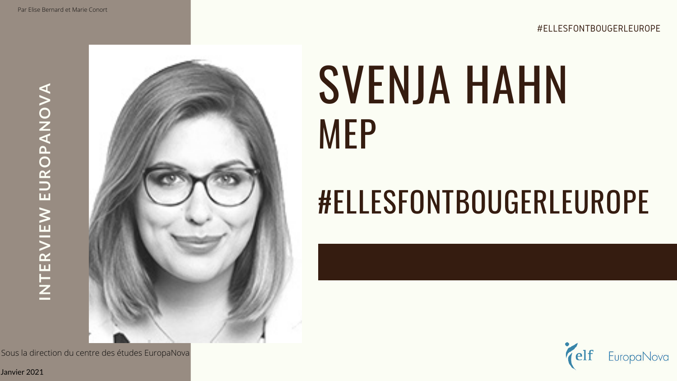# SVENJA HAHN MEP

**INTERVIEW EUROPANOVA**  INTERVIEW EUROPANOVA



## #ELLESFONTBOUGERLEUROPE

Janvier 2021

Sous la direction du centre des études EuropaNova

#ELLESFONTBOUGERLEUROPE

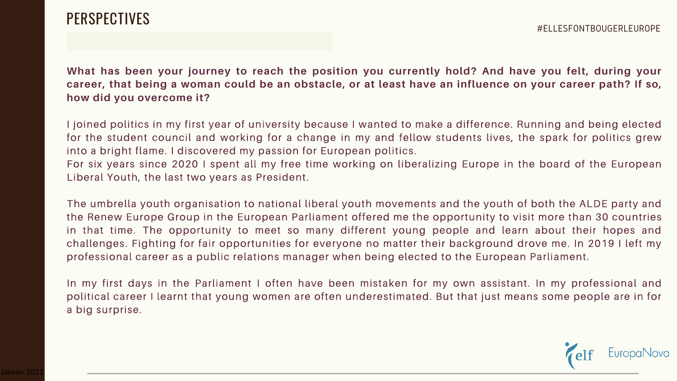## PERSPECTIVES

**What has been your journey to reach the position you currently hold? And have you felt, during your career, that being a woman could be an obstacle, or at least have an influence on your career path? If so, how did you overcome it?** 

I joined politics in my first year of university because I wanted to make a difference. Running and being elected for the student council and working for a change in my and fellow students lives, the spark for politics grew into a bright flame. I discovered my passion for European politics. For six years since 2020 I spent all my free time working on liberalizing Europe in the board of the European Liberal Youth, the last two years as President.

The umbrella youth organisation to national liberal youth movements and the youth of both the ALDE party and the Renew Europe Group in the European Parliament offered me the opportunity to visit more than 30 countries in that time. The opportunity to meet so many different young people and learn about their hopes and challenges. Fighting for fair opportunities for everyone no matter their background drove me. In 2019 I left my professional career as a public relations manager when being elected to the European Parliament.

In my first days in the Parliament I often have been mistaken for my own assistant. In my professional and political career I learnt that young women are often underestimated. But that just means some people are in for a big surprise.

### #ELLESFONTBOUGERLEUROPE